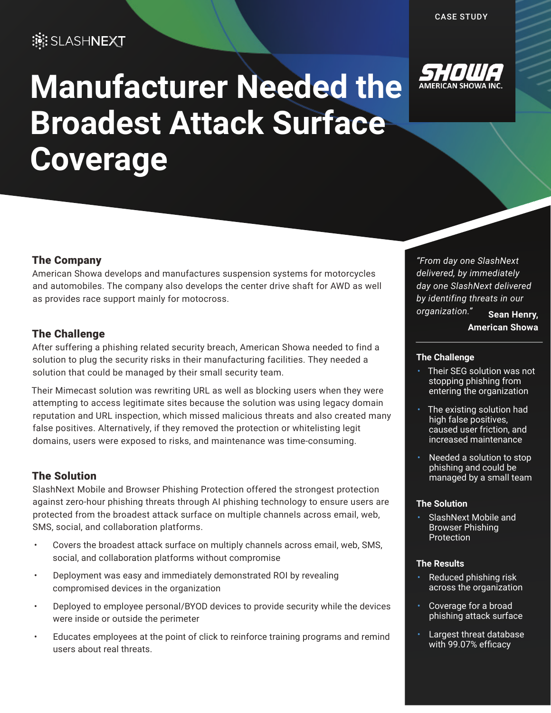# **EDENT**

# **Manufacturer Needed the Broadest Attack Surface Coverage**



# The Company

American Showa develops and manufactures suspension systems for motorcycles and automobiles. The company also develops the center drive shaft for AWD as well as provides race support mainly for motocross.

# The Challenge

After suffering a phishing related security breach, American Showa needed to find a solution to plug the security risks in their manufacturing facilities. They needed a solution that could be managed by their small security team.

Their Mimecast solution was rewriting URL as well as blocking users when they were attempting to access legitimate sites because the solution was using legacy domain reputation and URL inspection, which missed malicious threats and also created many false positives. Alternatively, if they removed the protection or whitelisting legit domains, users were exposed to risks, and maintenance was time-consuming.

## The Solution

SlashNext Mobile and Browser Phishing Protection offered the strongest protection against zero-hour phishing threats through AI phishing technology to ensure users are protected from the broadest attack surface on multiple channels across email, web, SMS, social, and collaboration platforms.

- Covers the broadest attack surface on multiply channels across email, web, SMS, social, and collaboration platforms without compromise
- Deployment was easy and immediately demonstrated ROI by revealing compromised devices in the organization
- Deployed to employee personal/BYOD devices to provide security while the devices were inside or outside the perimeter
- Educates employees at the point of click to reinforce training programs and remind users about real threats.

*"From day one SlashNext delivered, by immediately day one SlashNext delivered by identifing threats in our organization."* **Sean Henry, American Showa**

#### **The Challenge**

- Their SEG solution was not stopping phishing from entering the organization
- The existing solution had high false positives, caused user friction, and increased maintenance
- Needed a solution to stop phishing and could be managed by a small team

#### **The Solution**

• SlashNext Mobile and Browser Phishing **Protection** 

#### **The Results**

- Reduced phishing risk across the organization
- Coverage for a broad phishing attack surface
- Largest threat database with 99.07% efficacy